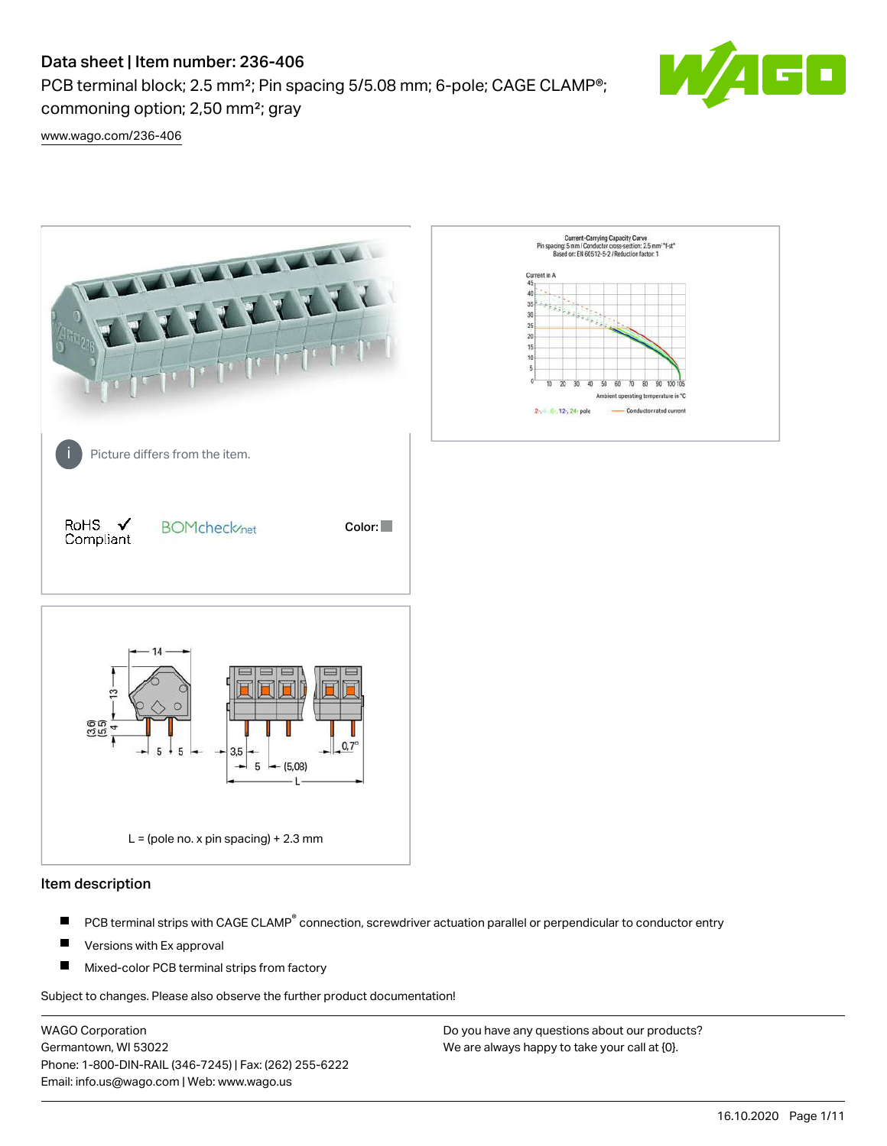PCB terminal block; 2.5 mm<sup>2</sup>; Pin spacing 5/5.08 mm; 6-pole; CAGE CLAMP<sup>®</sup>; commoning option; 2,50 mm²; gray



[www.wago.com/236-406](http://www.wago.com/236-406)



#### Item description

- PCB terminal strips with CAGE CLAMP<sup>®</sup> connection, screwdriver actuation parallel or perpendicular to conductor entry П
- П Versions with Ex approval
- П Mixed-color PCB terminal strips from factory

Subject to changes. Please also observe the further product documentation!

WAGO Corporation Germantown, WI 53022 Phone: 1-800-DIN-RAIL (346-7245) | Fax: (262) 255-6222 Email: info.us@wago.com | Web: www.wago.us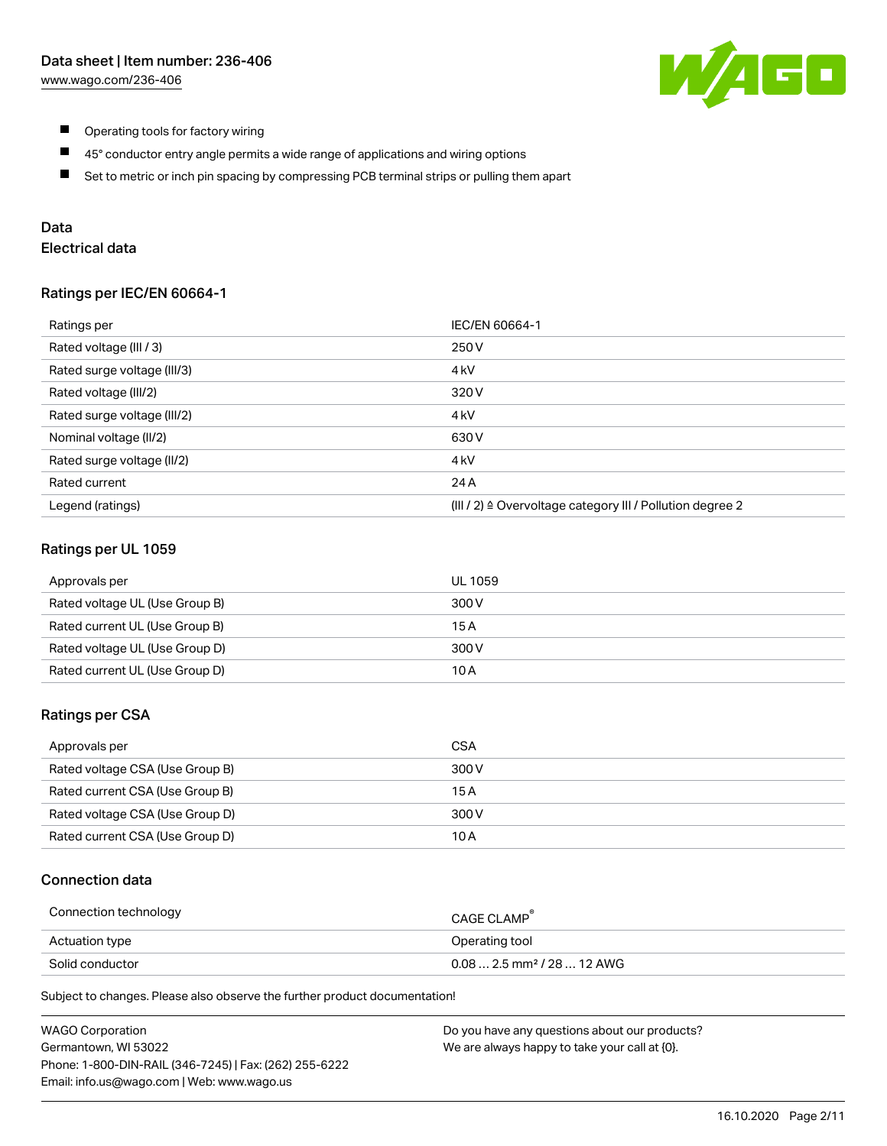

- $\blacksquare$ Operating tools for factory wiring
- $\blacksquare$ 45° conductor entry angle permits a wide range of applications and wiring options
- $\blacksquare$ Set to metric or inch pin spacing by compressing PCB terminal strips or pulling them apart

# Data

# Electrical data

#### Ratings per IEC/EN 60664-1

| Ratings per                 | IEC/EN 60664-1                                                        |
|-----------------------------|-----------------------------------------------------------------------|
| Rated voltage (III / 3)     | 250 V                                                                 |
| Rated surge voltage (III/3) | 4 <sub>k</sub> V                                                      |
| Rated voltage (III/2)       | 320 V                                                                 |
| Rated surge voltage (III/2) | 4 <sub>k</sub> V                                                      |
| Nominal voltage (II/2)      | 630 V                                                                 |
| Rated surge voltage (II/2)  | 4 <sub>k</sub> V                                                      |
| Rated current               | 24 A                                                                  |
| Legend (ratings)            | $(III / 2)$ $\triangle$ Overvoltage category III / Pollution degree 2 |

## Ratings per UL 1059

| Approvals per                  | UL 1059 |
|--------------------------------|---------|
| Rated voltage UL (Use Group B) | 300 V   |
| Rated current UL (Use Group B) | 15 A    |
| Rated voltage UL (Use Group D) | 300 V   |
| Rated current UL (Use Group D) | 10 A    |

#### Ratings per CSA

| Approvals per                   | CSA   |
|---------------------------------|-------|
| Rated voltage CSA (Use Group B) | 300 V |
| Rated current CSA (Use Group B) | 15 A  |
| Rated voltage CSA (Use Group D) | 300 V |
| Rated current CSA (Use Group D) | 10 A  |

## Connection data

| Connection technology | CAGE CLAMP                              |
|-----------------------|-----------------------------------------|
| Actuation type        | Operating tool                          |
| Solid conductor       | $0.08$ 2.5 mm <sup>2</sup> / 28  12 AWG |

Subject to changes. Please also observe the further product documentation!

| <b>WAGO Corporation</b>                                | Do you have any questions about our products? |
|--------------------------------------------------------|-----------------------------------------------|
| Germantown, WI 53022                                   | We are always happy to take your call at {0}. |
| Phone: 1-800-DIN-RAIL (346-7245)   Fax: (262) 255-6222 |                                               |
| Email: info.us@wago.com   Web: www.wago.us             |                                               |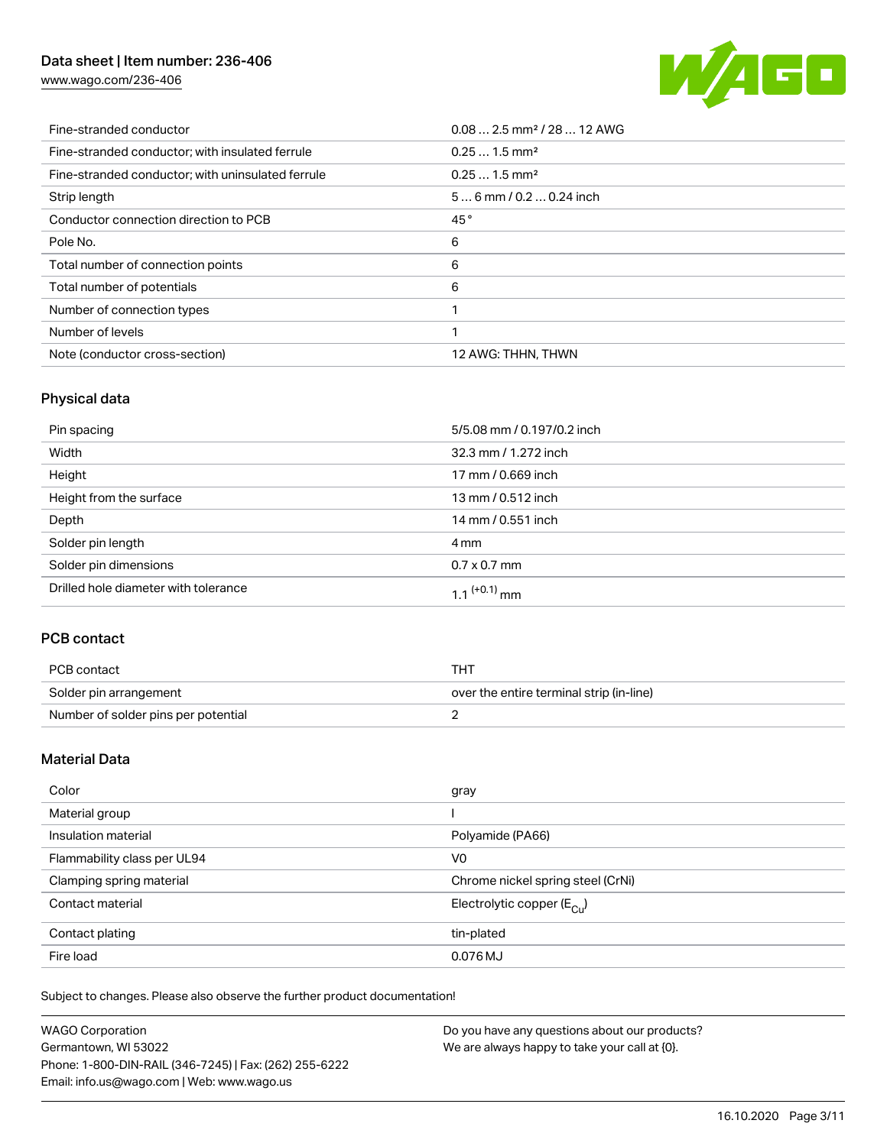[www.wago.com/236-406](http://www.wago.com/236-406)



| Fine-stranded conductor                           | $0.08$ 2.5 mm <sup>2</sup> / 28  12 AWG |
|---------------------------------------------------|-----------------------------------------|
| Fine-stranded conductor; with insulated ferrule   | $0.251.5$ mm <sup>2</sup>               |
| Fine-stranded conductor; with uninsulated ferrule | $0.251.5$ mm <sup>2</sup>               |
| Strip length                                      | $56$ mm / 0.2  0.24 inch                |
| Conductor connection direction to PCB             | 45°                                     |
| Pole No.                                          | 6                                       |
| Total number of connection points                 | 6                                       |
| Total number of potentials                        | 6                                       |
| Number of connection types                        |                                         |
| Number of levels                                  |                                         |
| Note (conductor cross-section)                    | 12 AWG: THHN, THWN                      |

# Physical data

| Pin spacing                          | 5/5.08 mm / 0.197/0.2 inch |
|--------------------------------------|----------------------------|
| Width                                | 32.3 mm / 1.272 inch       |
| Height                               | 17 mm / 0.669 inch         |
| Height from the surface              | 13 mm / 0.512 inch         |
| Depth                                | 14 mm / 0.551 inch         |
| Solder pin length                    | 4 mm                       |
| Solder pin dimensions                | $0.7 \times 0.7$ mm        |
| Drilled hole diameter with tolerance | $1.1$ <sup>(+0.1)</sup> mm |

# PCB contact

| PCB contact                         | тнт                                      |
|-------------------------------------|------------------------------------------|
| Solder pin arrangement              | over the entire terminal strip (in-line) |
| Number of solder pins per potential |                                          |

# Material Data

| Color                       | gray                                   |
|-----------------------------|----------------------------------------|
| Material group              |                                        |
| Insulation material         | Polyamide (PA66)                       |
| Flammability class per UL94 | V <sub>0</sub>                         |
| Clamping spring material    | Chrome nickel spring steel (CrNi)      |
| Contact material            | Electrolytic copper $(E_{\text{CII}})$ |
| Contact plating             | tin-plated                             |
| Fire load                   | 0.076 MJ                               |

Subject to changes. Please also observe the further product documentation!

| <b>WAGO Corporation</b>                                | Do you have any questions about our products? |
|--------------------------------------------------------|-----------------------------------------------|
| Germantown, WI 53022                                   | We are always happy to take your call at {0}. |
| Phone: 1-800-DIN-RAIL (346-7245)   Fax: (262) 255-6222 |                                               |
| Email: info.us@wago.com   Web: www.wago.us             |                                               |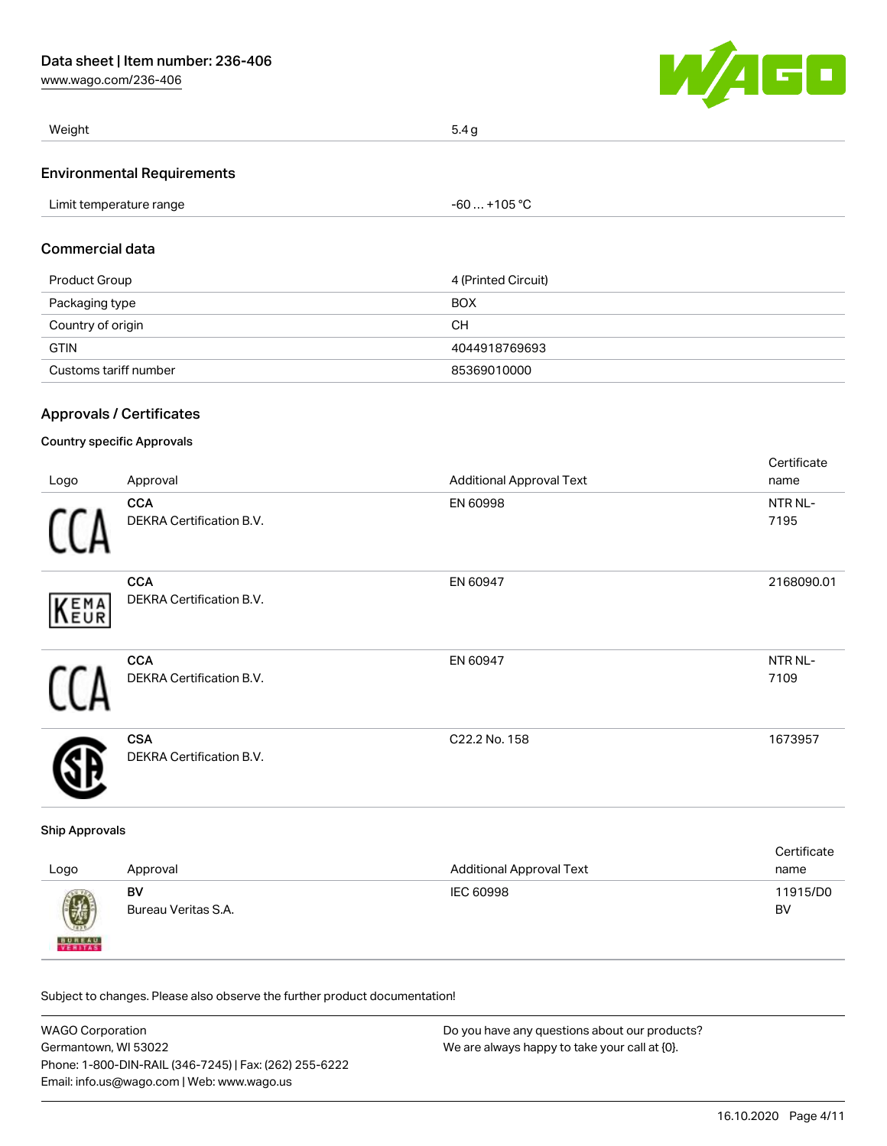[www.wago.com/236-406](http://www.wago.com/236-406)



| Weight                            | 5.4q |
|-----------------------------------|------|
| <b>Environmental Requirements</b> |      |

| Limit temperature range | $-60+105 °C$ |  |
|-------------------------|--------------|--|

## Commercial data

| Product Group         | 4 (Printed Circuit) |
|-----------------------|---------------------|
| Packaging type        | <b>BOX</b>          |
| Country of origin     | CН                  |
| <b>GTIN</b>           | 4044918769693       |
| Customs tariff number | 85369010000         |

## Approvals / Certificates

## Country specific Approvals

| Logo | Approval                                      | <b>Additional Approval Text</b> | Certificate<br>name |
|------|-----------------------------------------------|---------------------------------|---------------------|
|      | <b>CCA</b><br><b>DEKRA Certification B.V.</b> | EN 60998                        | NTR NL-<br>7195     |
| KEMA | <b>CCA</b><br>DEKRA Certification B.V.        | EN 60947                        | 2168090.01          |
| 11   | <b>CCA</b><br>DEKRA Certification B.V.        | EN 60947                        | NTR NL-<br>7109     |
|      | <b>CSA</b><br><b>DEKRA Certification B.V.</b> | C22.2 No. 158                   | 1673957             |

#### Ship Approvals

| Logo          | Approval            | <b>Additional Approval Text</b> | Certificate<br>name |
|---------------|---------------------|---------------------------------|---------------------|
| Ø             | BV                  | IEC 60998                       | 11915/D0            |
| <b>BUREAU</b> | Bureau Veritas S.A. |                                 | BV                  |

Subject to changes. Please also observe the further product documentation!

| <b>WAGO Corporation</b>                                | Do you have any questions about our products? |
|--------------------------------------------------------|-----------------------------------------------|
| Germantown, WI 53022                                   | We are always happy to take your call at {0}. |
| Phone: 1-800-DIN-RAIL (346-7245)   Fax: (262) 255-6222 |                                               |
| Email: info.us@wago.com   Web: www.wago.us             |                                               |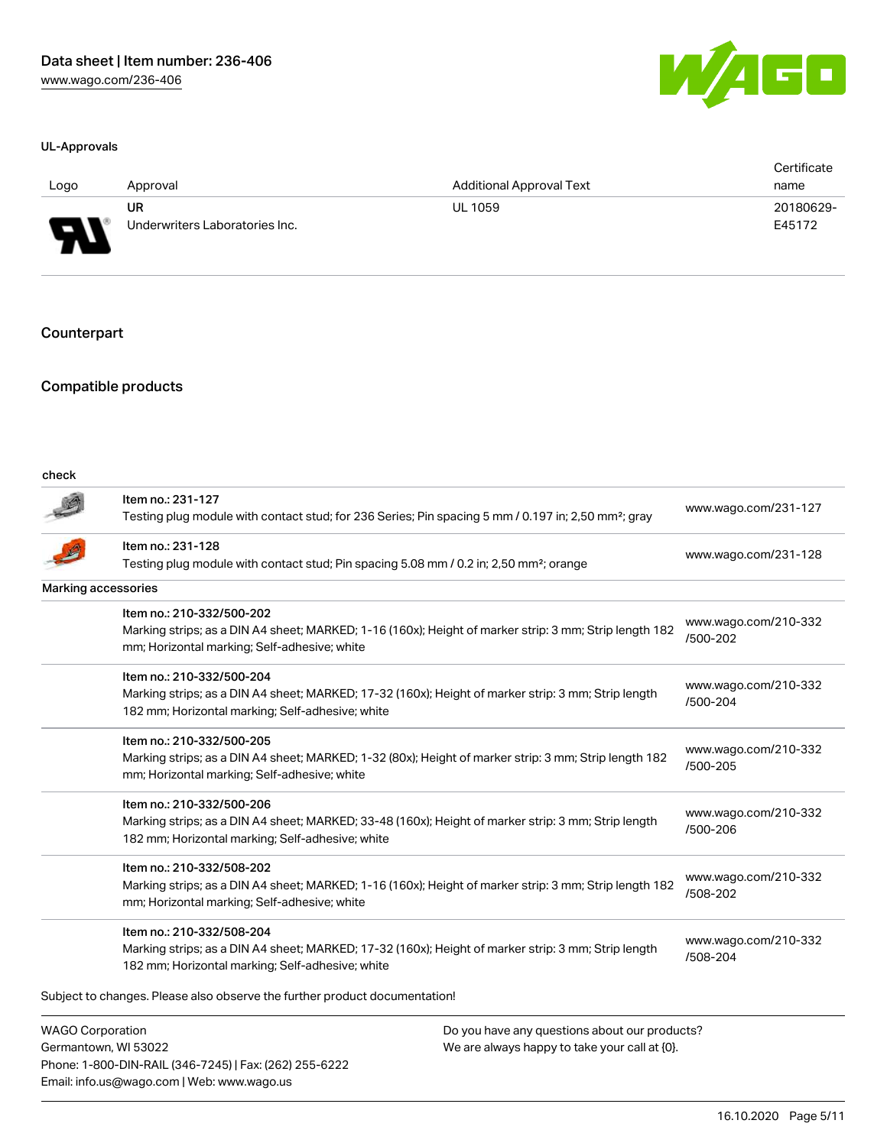#### UL-Approvals

| a l<br>-4 | an Barat |  |
|-----------|----------|--|
|           |          |  |

| Logo                     | Approval                       | <b>Additional Approval Text</b> | Certificate<br>name |
|--------------------------|--------------------------------|---------------------------------|---------------------|
| J                        | UR                             | <b>UL 1059</b>                  | 20180629-           |
| $\overline{\phantom{a}}$ | Underwriters Laboratories Inc. |                                 | E45172              |

## **Counterpart**

## Compatible products

Germantown, WI 53022

Phone: 1-800-DIN-RAIL (346-7245) | Fax: (262) 255-6222

Email: info.us@wago.com | Web: www.wago.us

| check                      |                                                                                                                                                                                      |                                               |                                  |
|----------------------------|--------------------------------------------------------------------------------------------------------------------------------------------------------------------------------------|-----------------------------------------------|----------------------------------|
|                            | Item no.: 231-127<br>Testing plug module with contact stud; for 236 Series; Pin spacing 5 mm / 0.197 in; 2,50 mm <sup>2</sup> ; gray                                                 |                                               | www.wago.com/231-127             |
|                            | Item no.: 231-128<br>Testing plug module with contact stud; Pin spacing 5.08 mm / 0.2 in; 2,50 mm <sup>2</sup> ; orange                                                              |                                               | www.wago.com/231-128             |
| <b>Marking accessories</b> |                                                                                                                                                                                      |                                               |                                  |
|                            | Item no.: 210-332/500-202<br>Marking strips; as a DIN A4 sheet; MARKED; 1-16 (160x); Height of marker strip: 3 mm; Strip length 182<br>mm; Horizontal marking; Self-adhesive; white  |                                               | www.wago.com/210-332<br>/500-202 |
|                            | Item no.: 210-332/500-204<br>Marking strips; as a DIN A4 sheet; MARKED; 17-32 (160x); Height of marker strip: 3 mm; Strip length<br>182 mm; Horizontal marking; Self-adhesive; white |                                               | www.wago.com/210-332<br>/500-204 |
|                            | Item no.: 210-332/500-205<br>Marking strips; as a DIN A4 sheet; MARKED; 1-32 (80x); Height of marker strip: 3 mm; Strip length 182<br>mm; Horizontal marking; Self-adhesive; white   |                                               | www.wago.com/210-332<br>/500-205 |
|                            | Item no.: 210-332/500-206<br>Marking strips; as a DIN A4 sheet; MARKED; 33-48 (160x); Height of marker strip: 3 mm; Strip length<br>182 mm; Horizontal marking; Self-adhesive; white |                                               | www.wago.com/210-332<br>/500-206 |
|                            | Item no.: 210-332/508-202<br>Marking strips; as a DIN A4 sheet; MARKED; 1-16 (160x); Height of marker strip: 3 mm; Strip length 182<br>mm; Horizontal marking; Self-adhesive; white  |                                               | www.wago.com/210-332<br>/508-202 |
|                            | Item no.: 210-332/508-204<br>Marking strips; as a DIN A4 sheet; MARKED; 17-32 (160x); Height of marker strip: 3 mm; Strip length<br>182 mm; Horizontal marking; Self-adhesive; white |                                               | www.wago.com/210-332<br>/508-204 |
|                            | Subject to changes. Please also observe the further product documentation!                                                                                                           |                                               |                                  |
| <b>WAGO Corporation</b>    |                                                                                                                                                                                      | Do you have any questions about our products? |                                  |

We are always happy to take your call at {0}.

16.10.2020 Page 5/11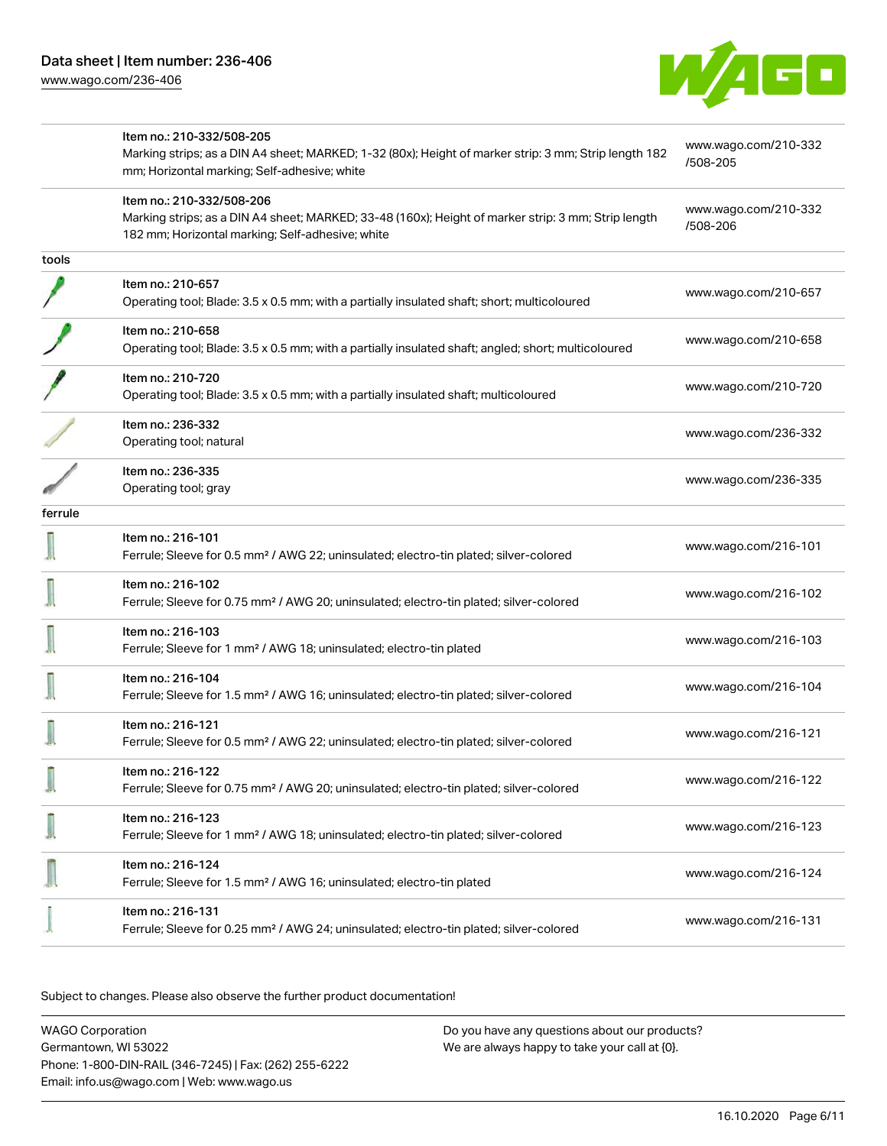[www.wago.com/236-406](http://www.wago.com/236-406)



|         | Item no.: 210-332/508-205<br>Marking strips; as a DIN A4 sheet; MARKED; 1-32 (80x); Height of marker strip: 3 mm; Strip length 182<br>mm; Horizontal marking; Self-adhesive; white   | www.wago.com/210-332<br>/508-205 |  |
|---------|--------------------------------------------------------------------------------------------------------------------------------------------------------------------------------------|----------------------------------|--|
|         | Item no.: 210-332/508-206<br>Marking strips; as a DIN A4 sheet; MARKED; 33-48 (160x); Height of marker strip: 3 mm; Strip length<br>182 mm; Horizontal marking; Self-adhesive; white | www.wago.com/210-332<br>/508-206 |  |
| tools   |                                                                                                                                                                                      |                                  |  |
|         | Item no.: 210-657<br>Operating tool; Blade: 3.5 x 0.5 mm; with a partially insulated shaft; short; multicoloured                                                                     | www.wago.com/210-657             |  |
|         | Item no.: 210-658<br>Operating tool; Blade: 3.5 x 0.5 mm; with a partially insulated shaft; angled; short; multicoloured                                                             | www.wago.com/210-658             |  |
|         | Item no.: 210-720<br>Operating tool; Blade: 3.5 x 0.5 mm; with a partially insulated shaft; multicoloured                                                                            | www.wago.com/210-720             |  |
|         | Item no.: 236-332<br>Operating tool; natural                                                                                                                                         | www.wago.com/236-332             |  |
|         | Item no.: 236-335<br>Operating tool; gray                                                                                                                                            | www.wago.com/236-335             |  |
| ferrule |                                                                                                                                                                                      |                                  |  |
|         | Item no.: 216-101<br>Ferrule; Sleeve for 0.5 mm <sup>2</sup> / AWG 22; uninsulated; electro-tin plated; silver-colored                                                               | www.wago.com/216-101             |  |
|         | Item no.: 216-102<br>Ferrule; Sleeve for 0.75 mm <sup>2</sup> / AWG 20; uninsulated; electro-tin plated; silver-colored                                                              | www.wago.com/216-102             |  |
|         | Item no.: 216-103<br>Ferrule; Sleeve for 1 mm <sup>2</sup> / AWG 18; uninsulated; electro-tin plated                                                                                 | www.wago.com/216-103             |  |
|         | Item no.: 216-104<br>Ferrule; Sleeve for 1.5 mm <sup>2</sup> / AWG 16; uninsulated; electro-tin plated; silver-colored                                                               | www.wago.com/216-104             |  |
|         | Item no.: 216-121<br>Ferrule; Sleeve for 0.5 mm <sup>2</sup> / AWG 22; uninsulated; electro-tin plated; silver-colored                                                               | www.wago.com/216-121             |  |
|         | Item no.: 216-122<br>Ferrule; Sleeve for 0.75 mm <sup>2</sup> / AWG 20; uninsulated; electro-tin plated; silver-colored                                                              | www.wago.com/216-122             |  |
|         | Item no.: 216-123<br>Ferrule; Sleeve for 1 mm <sup>2</sup> / AWG 18; uninsulated; electro-tin plated; silver-colored                                                                 | www.wago.com/216-123             |  |
|         | Item no.: 216-124<br>Ferrule; Sleeve for 1.5 mm <sup>2</sup> / AWG 16; uninsulated; electro-tin plated                                                                               | www.wago.com/216-124             |  |
|         | Item no.: 216-131<br>Ferrule; Sleeve for 0.25 mm <sup>2</sup> / AWG 24; uninsulated; electro-tin plated; silver-colored                                                              | www.wago.com/216-131             |  |
|         |                                                                                                                                                                                      |                                  |  |

Subject to changes. Please also observe the further product documentation!

WAGO Corporation Germantown, WI 53022 Phone: 1-800-DIN-RAIL (346-7245) | Fax: (262) 255-6222 Email: info.us@wago.com | Web: www.wago.us Do you have any questions about our products? We are always happy to take your call at {0}.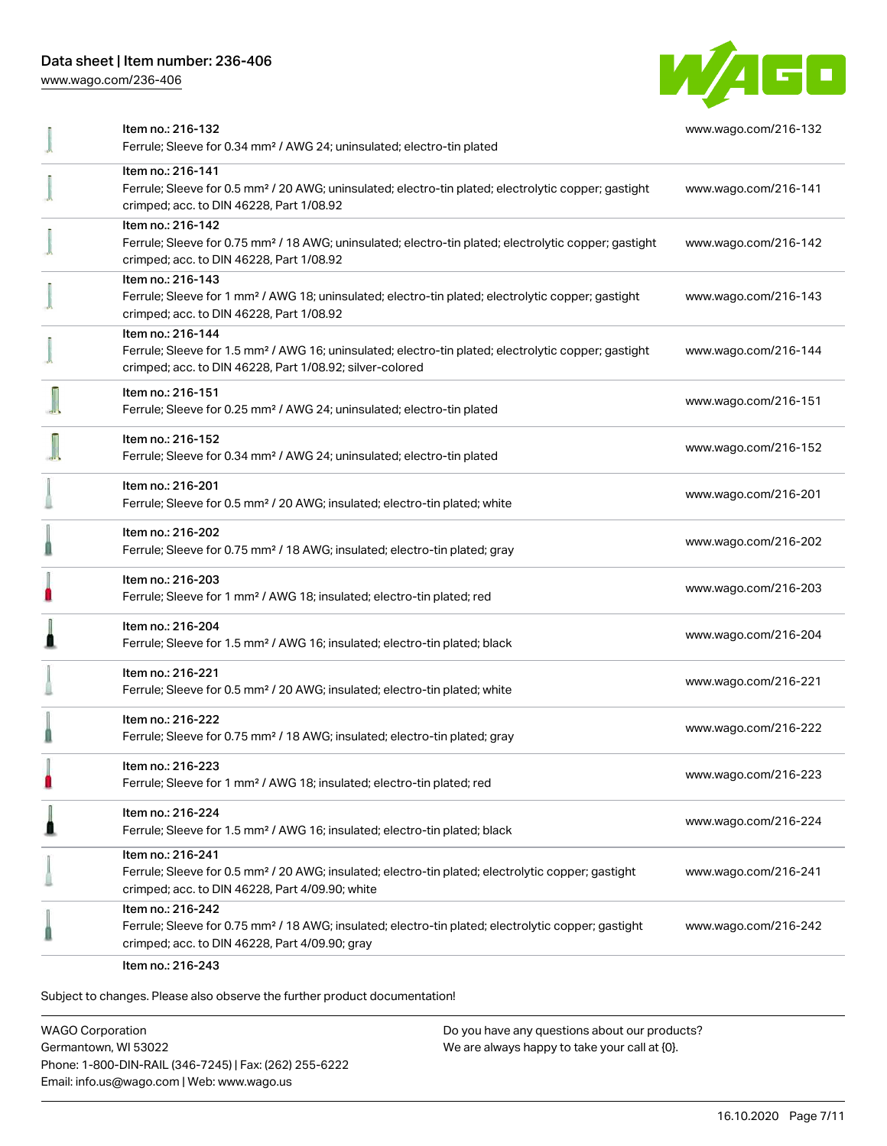[www.wago.com/236-406](http://www.wago.com/236-406)



| Item no.: 216-132<br>Ferrule; Sleeve for 0.34 mm <sup>2</sup> / AWG 24; uninsulated; electro-tin plated                                                                                           | www.wago.com/216-132 |
|---------------------------------------------------------------------------------------------------------------------------------------------------------------------------------------------------|----------------------|
| Item no.: 216-141<br>Ferrule; Sleeve for 0.5 mm <sup>2</sup> / 20 AWG; uninsulated; electro-tin plated; electrolytic copper; gastight<br>crimped; acc. to DIN 46228, Part 1/08.92                 | www.wago.com/216-141 |
| Item no.: 216-142<br>Ferrule; Sleeve for 0.75 mm <sup>2</sup> / 18 AWG; uninsulated; electro-tin plated; electrolytic copper; gastight<br>crimped; acc. to DIN 46228, Part 1/08.92                | www.wago.com/216-142 |
| Item no.: 216-143<br>Ferrule; Sleeve for 1 mm <sup>2</sup> / AWG 18; uninsulated; electro-tin plated; electrolytic copper; gastight<br>crimped; acc. to DIN 46228, Part 1/08.92                   | www.wago.com/216-143 |
| Item no.: 216-144<br>Ferrule; Sleeve for 1.5 mm <sup>2</sup> / AWG 16; uninsulated; electro-tin plated; electrolytic copper; gastight<br>crimped; acc. to DIN 46228, Part 1/08.92; silver-colored | www.wago.com/216-144 |
| Item no.: 216-151<br>Ferrule; Sleeve for 0.25 mm <sup>2</sup> / AWG 24; uninsulated; electro-tin plated                                                                                           | www.wago.com/216-151 |
| Item no.: 216-152<br>Ferrule; Sleeve for 0.34 mm <sup>2</sup> / AWG 24; uninsulated; electro-tin plated                                                                                           | www.wago.com/216-152 |
| Item no.: 216-201<br>Ferrule; Sleeve for 0.5 mm <sup>2</sup> / 20 AWG; insulated; electro-tin plated; white                                                                                       | www.wago.com/216-201 |
| Item no.: 216-202<br>Ferrule; Sleeve for 0.75 mm <sup>2</sup> / 18 AWG; insulated; electro-tin plated; gray                                                                                       | www.wago.com/216-202 |
| Item no.: 216-203<br>Ferrule; Sleeve for 1 mm <sup>2</sup> / AWG 18; insulated; electro-tin plated; red                                                                                           | www.wago.com/216-203 |
| Item no.: 216-204<br>Ferrule; Sleeve for 1.5 mm <sup>2</sup> / AWG 16; insulated; electro-tin plated; black                                                                                       | www.wago.com/216-204 |
| Item no.: 216-221<br>Ferrule; Sleeve for 0.5 mm <sup>2</sup> / 20 AWG; insulated; electro-tin plated; white                                                                                       | www.wago.com/216-221 |
| Item no.: 216-222<br>Ferrule; Sleeve for 0.75 mm <sup>2</sup> / 18 AWG; insulated; electro-tin plated; gray                                                                                       | www.wago.com/216-222 |
| Item no.: 216-223<br>Ferrule; Sleeve for 1 mm <sup>2</sup> / AWG 18; insulated; electro-tin plated; red                                                                                           | www.wago.com/216-223 |
| Item no.: 216-224<br>Ferrule; Sleeve for 1.5 mm <sup>2</sup> / AWG 16; insulated; electro-tin plated; black                                                                                       | www.wago.com/216-224 |
| Item no.: 216-241<br>Ferrule; Sleeve for 0.5 mm <sup>2</sup> / 20 AWG; insulated; electro-tin plated; electrolytic copper; gastight<br>crimped; acc. to DIN 46228, Part 4/09.90; white            | www.wago.com/216-241 |
| Item no.: 216-242<br>Ferrule; Sleeve for 0.75 mm <sup>2</sup> / 18 AWG; insulated; electro-tin plated; electrolytic copper; gastight<br>crimped; acc. to DIN 46228, Part 4/09.90; gray            | www.wago.com/216-242 |
|                                                                                                                                                                                                   |                      |

Item no.: 216-243

Subject to changes. Please also observe the further product documentation!

WAGO Corporation Germantown, WI 53022 Phone: 1-800-DIN-RAIL (346-7245) | Fax: (262) 255-6222 Email: info.us@wago.com | Web: www.wago.us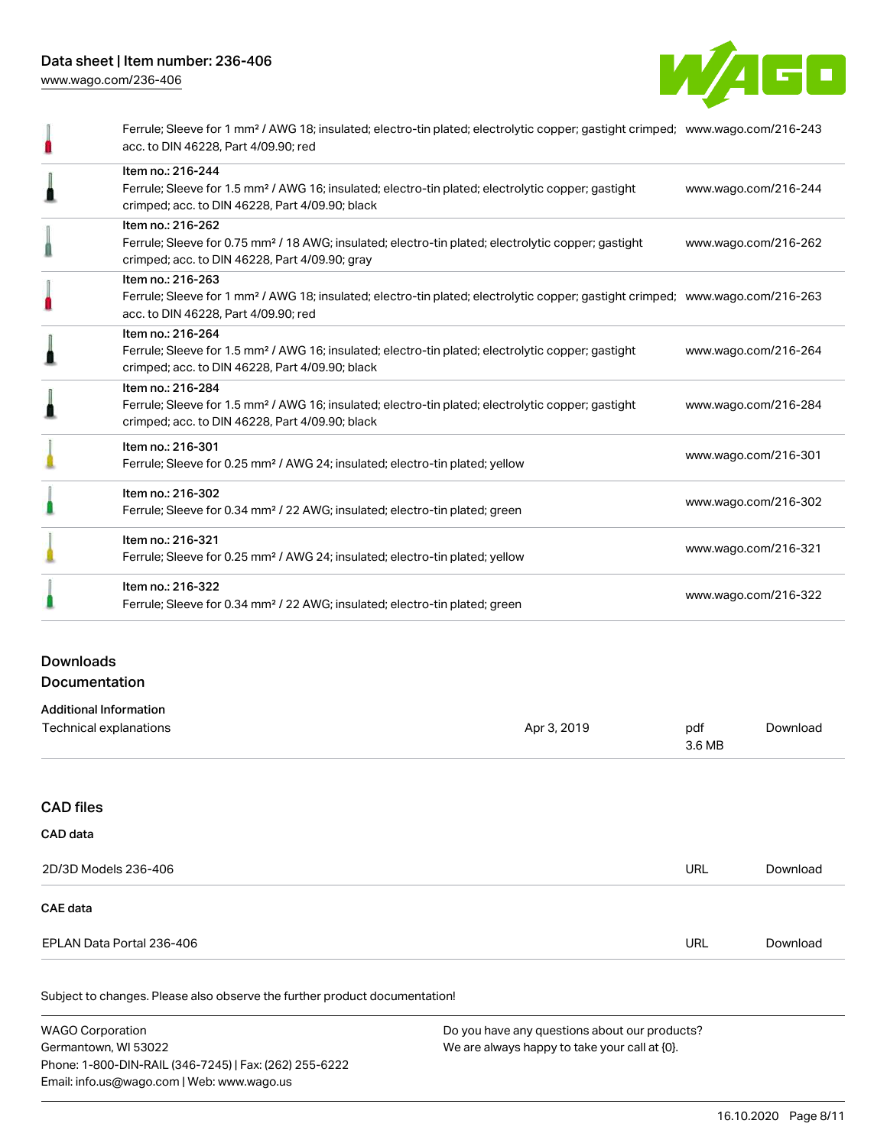

| Ferrule; Sleeve for 1 mm <sup>2</sup> / AWG 18; insulated; electro-tin plated; electrolytic copper; gastight crimped; www.wago.com/216-243<br>acc. to DIN 46228, Part 4/09.90; red                      |                      |
|---------------------------------------------------------------------------------------------------------------------------------------------------------------------------------------------------------|----------------------|
| Item no.: 216-244<br>Ferrule; Sleeve for 1.5 mm <sup>2</sup> / AWG 16; insulated; electro-tin plated; electrolytic copper; gastight<br>crimped; acc. to DIN 46228, Part 4/09.90; black                  | www.wago.com/216-244 |
| Item no.: 216-262<br>Ferrule; Sleeve for 0.75 mm <sup>2</sup> / 18 AWG; insulated; electro-tin plated; electrolytic copper; gastight<br>crimped; acc. to DIN 46228, Part 4/09.90; gray                  | www.wago.com/216-262 |
| Item no.: 216-263<br>Ferrule; Sleeve for 1 mm <sup>2</sup> / AWG 18; insulated; electro-tin plated; electrolytic copper; gastight crimped; www.wago.com/216-263<br>acc. to DIN 46228, Part 4/09.90; red |                      |
| Item no.: 216-264<br>Ferrule; Sleeve for 1.5 mm <sup>2</sup> / AWG 16; insulated; electro-tin plated; electrolytic copper; gastight<br>crimped; acc. to DIN 46228, Part 4/09.90; black                  | www.wago.com/216-264 |
| Item no.: 216-284<br>Ferrule; Sleeve for 1.5 mm <sup>2</sup> / AWG 16; insulated; electro-tin plated; electrolytic copper; gastight<br>crimped; acc. to DIN 46228, Part 4/09.90; black                  | www.wago.com/216-284 |
| Item no.: 216-301<br>Ferrule; Sleeve for 0.25 mm <sup>2</sup> / AWG 24; insulated; electro-tin plated; yellow                                                                                           | www.wago.com/216-301 |
| Item no.: 216-302<br>Ferrule; Sleeve for 0.34 mm <sup>2</sup> / 22 AWG; insulated; electro-tin plated; green                                                                                            | www.wago.com/216-302 |
| Item no.: 216-321<br>Ferrule; Sleeve for 0.25 mm <sup>2</sup> / AWG 24; insulated; electro-tin plated; yellow                                                                                           | www.wago.com/216-321 |
| Item no.: 216-322<br>Ferrule; Sleeve for 0.34 mm <sup>2</sup> / 22 AWG; insulated; electro-tin plated; green                                                                                            | www.wago.com/216-322 |

# Downloads Documentation

| <b>Additional Information</b> |             |               |          |
|-------------------------------|-------------|---------------|----------|
| Technical explanations        | Apr 3, 2019 | pdf<br>3.6 MB | Download |
|                               |             |               |          |
| <b>CAD files</b>              |             |               |          |
| CAD data                      |             |               |          |
| 2D/3D Models 236-406          |             | URL           | Download |
| CAE data                      |             |               |          |
| EPLAN Data Portal 236-406     |             | URL           | Download |
|                               |             |               |          |

Subject to changes. Please also observe the further product documentation!

WAGO Corporation Germantown, WI 53022 Phone: 1-800-DIN-RAIL (346-7245) | Fax: (262) 255-6222 Email: info.us@wago.com | Web: www.wago.us Do you have any questions about our products? We are always happy to take your call at {0}.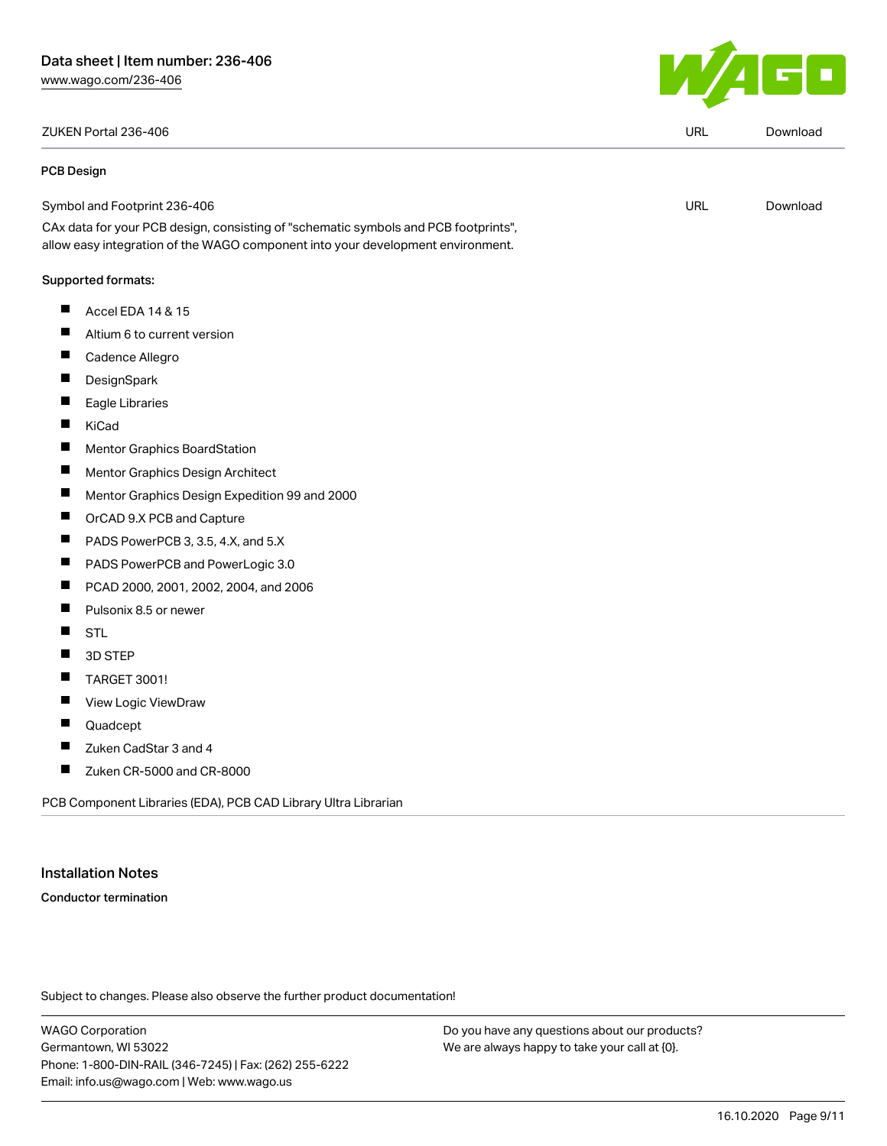ZUKEN Portal 236-406 URL [Download](https://www.wago.com/us/d/Zuken_URLS_236-406)

 $\overline{\phantom{a}}$ 

| <b>PCB Design</b>                                                                                                                                                      |     |          |
|------------------------------------------------------------------------------------------------------------------------------------------------------------------------|-----|----------|
| Symbol and Footprint 236-406                                                                                                                                           | URL | Download |
| CAx data for your PCB design, consisting of "schematic symbols and PCB footprints",<br>allow easy integration of the WAGO component into your development environment. |     |          |
| Supported formats:                                                                                                                                                     |     |          |

- $\blacksquare$ Accel EDA 14 & 15
- $\blacksquare$ Altium 6 to current version
- $\blacksquare$ Cadence Allegro
- **DesignSpark** П
- П Eagle Libraries
- $\blacksquare$ KiCad
- Mentor Graphics BoardStation  $\blacksquare$
- $\blacksquare$ Mentor Graphics Design Architect
- $\blacksquare$ Mentor Graphics Design Expedition 99 and 2000
- $\blacksquare$ OrCAD 9.X PCB and Capture
- $\blacksquare$ PADS PowerPCB 3, 3.5, 4.X, and 5.X
- $\blacksquare$ PADS PowerPCB and PowerLogic 3.0
- $\blacksquare$ PCAD 2000, 2001, 2002, 2004, and 2006
- $\blacksquare$ Pulsonix 8.5 or newer
- $\blacksquare$ STL
- $\blacksquare$ 3D STEP
- $\blacksquare$ TARGET 3001!
- $\blacksquare$ View Logic ViewDraw
- $\blacksquare$ Quadcept
- $\blacksquare$ Zuken CadStar 3 and 4
- $\blacksquare$ Zuken CR-5000 and CR-8000

PCB Component Libraries (EDA), PCB CAD Library Ultra Librarian

#### Installation Notes

Conductor termination

Subject to changes. Please also observe the further product documentation!

WAGO Corporation Germantown, WI 53022 Phone: 1-800-DIN-RAIL (346-7245) | Fax: (262) 255-6222 Email: info.us@wago.com | Web: www.wago.us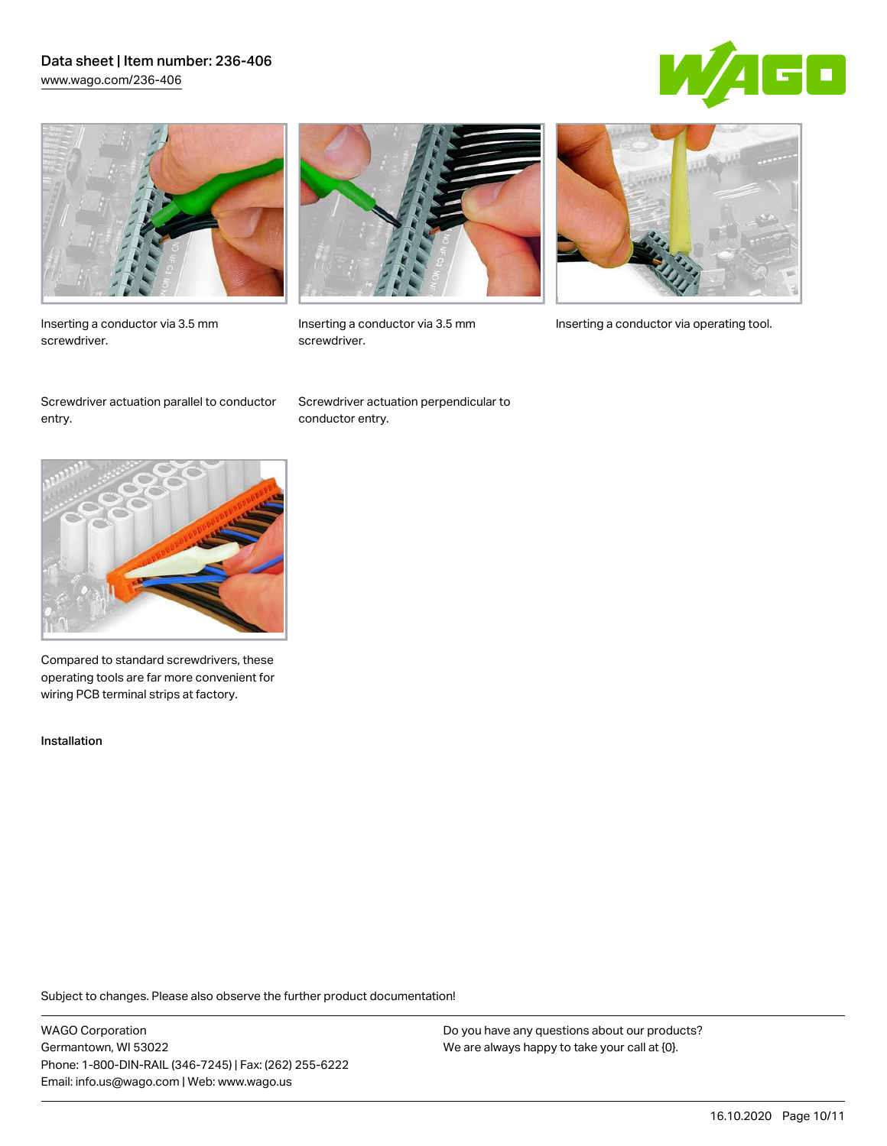## Data sheet | Item number: 236-406 [www.wago.com/236-406](http://www.wago.com/236-406)





Inserting a conductor via 3.5 mm screwdriver.



screwdriver.

Inserting a conductor via 3.5 mm Inserting a conductor via operating tool.

Screwdriver actuation parallel to conductor entry.

Screwdriver actuation perpendicular to conductor entry.



Compared to standard screwdrivers, these operating tools are far more convenient for wiring PCB terminal strips at factory.

Installation

Subject to changes. Please also observe the further product documentation!

WAGO Corporation Germantown, WI 53022 Phone: 1-800-DIN-RAIL (346-7245) | Fax: (262) 255-6222 Email: info.us@wago.com | Web: www.wago.us